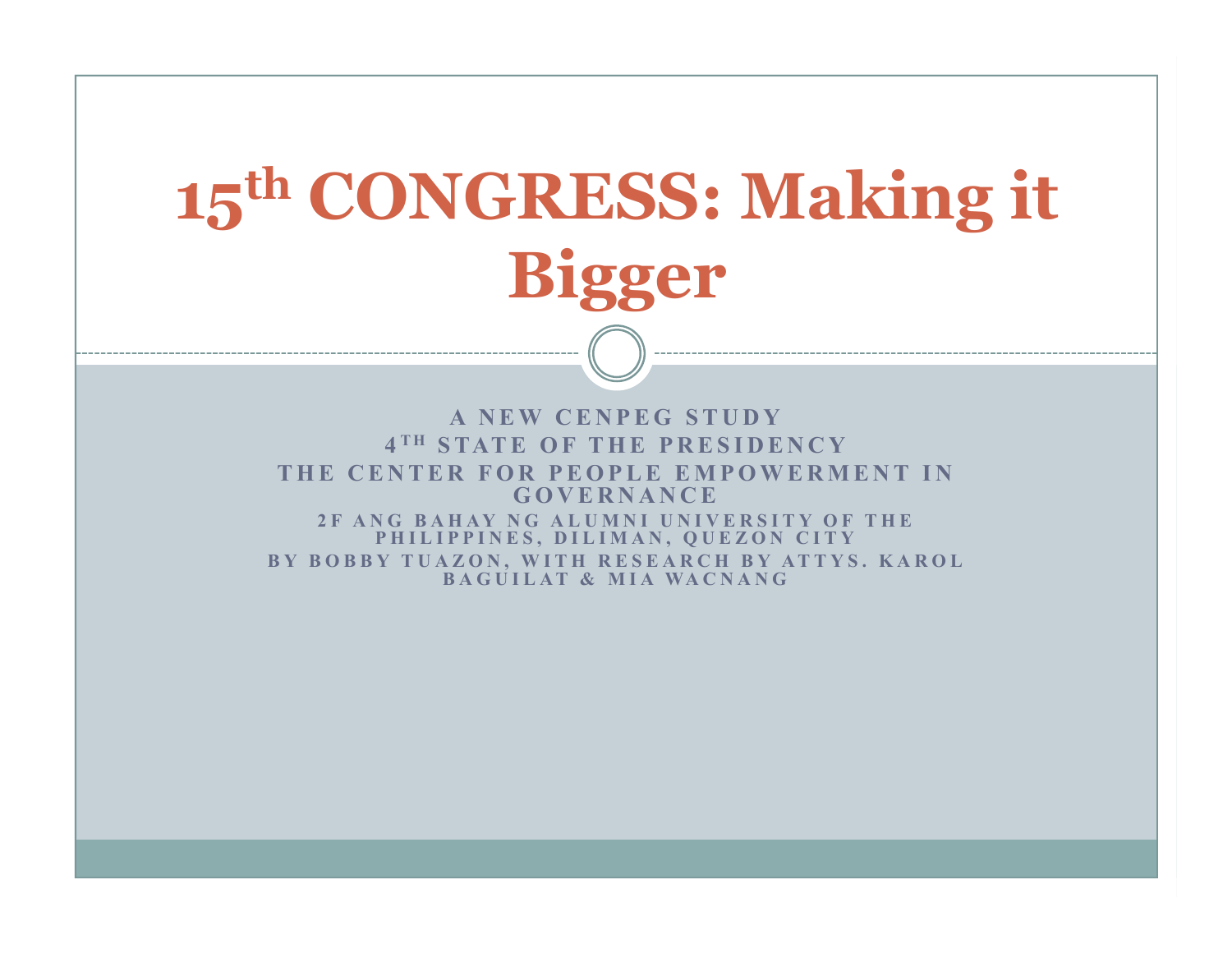# **15th CONGRESS: Making it Bigger**

A NEW CENPEG STUDY 4<sup>TH</sup> STATE OF THE PRESIDENCY<br>NTED FOR REORLE EMPOWERME THE CENTER FOR PEOPLE EMPOWERMENT IN **<sup>G</sup> <sup>O</sup> <sup>V</sup> <sup>E</sup> <sup>R</sup> <sup>N</sup> <sup>A</sup> <sup>N</sup> <sup>C</sup> <sup>E</sup>**  2F ANG BAHAY NG ALUMNI UNIVERSITY OF THE PHILIPPINES, DILIMAN, QUEZON CITY BY BOBBY TUAZON, WITH RESEARCH BY ATTYS. KAROL<br>RACHILAT & MIA WACNANG **BAGUILAT & MIA WACNANG**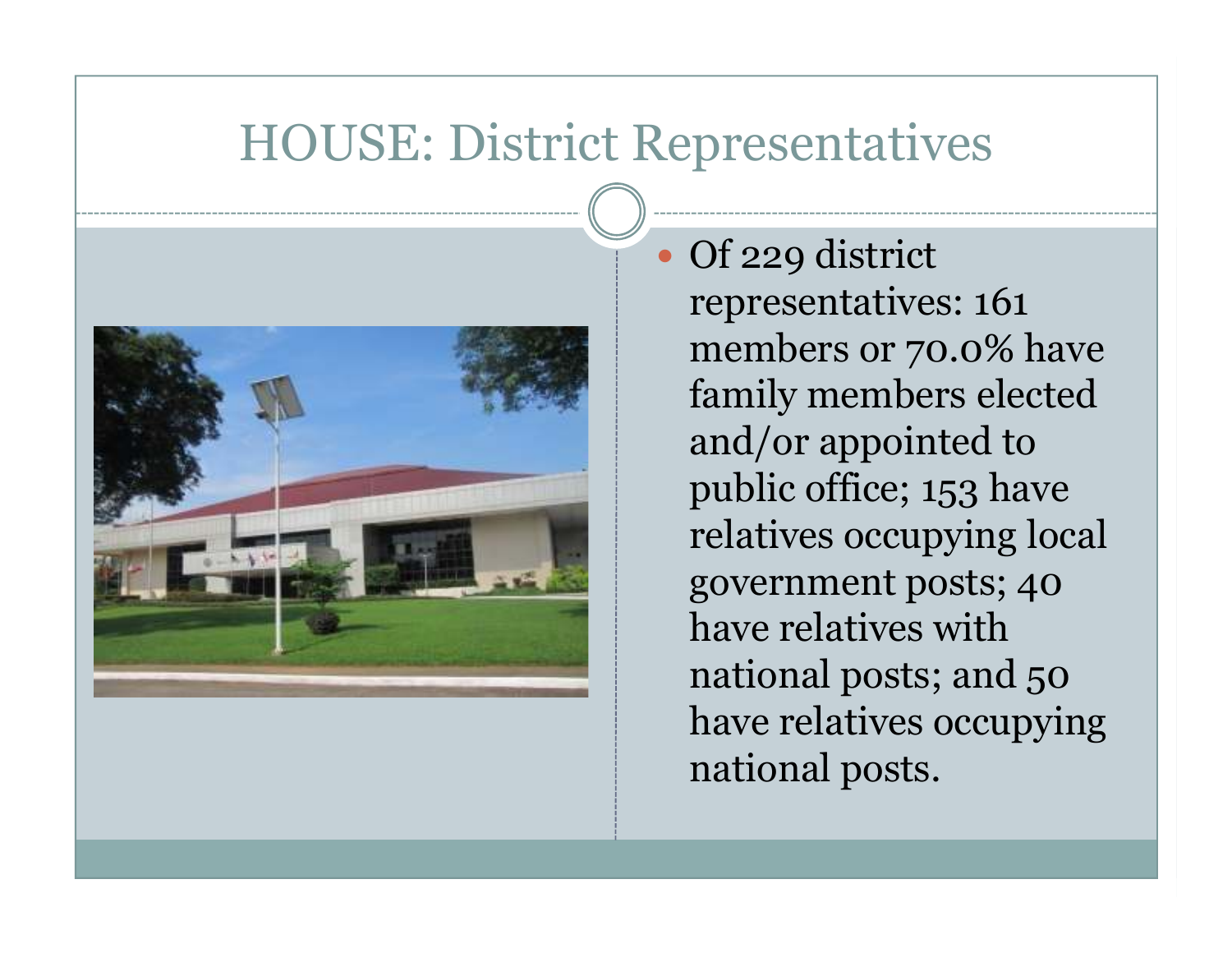### HOUSE: District Representatives

 $\bullet$ 



 Of 229 district representatives: 161 members or 70.0% have family members elected and/or appointed to public office; 153 have relatives occupying local government posts; 40 have relatives with national posts; and 50 have relatives occupying national posts.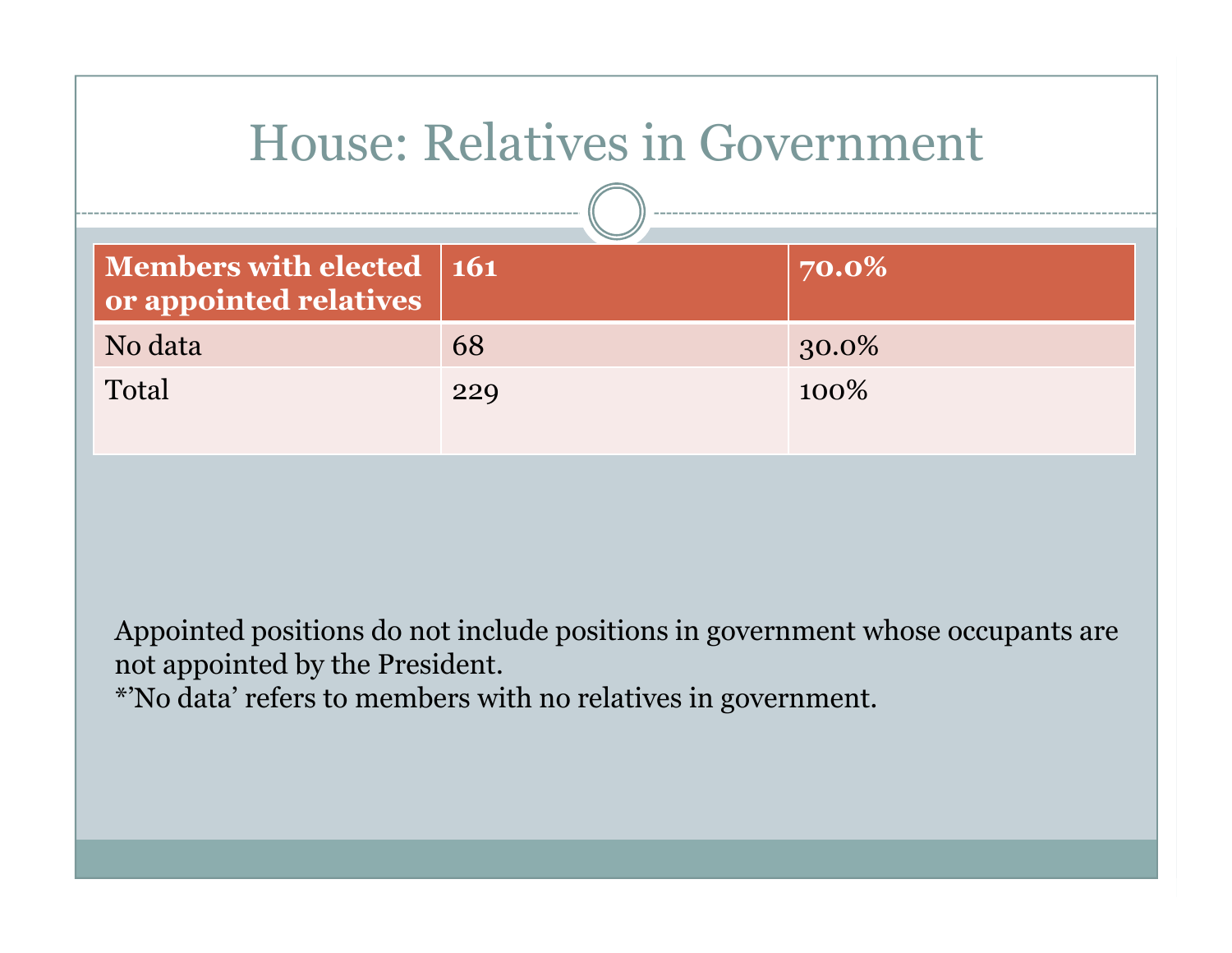| <b>House: Relatives in Government</b>                |     |       |  |
|------------------------------------------------------|-----|-------|--|
| Members with elected   161<br>or appointed relatives |     | 70.0% |  |
| No data                                              | 68  | 30.0% |  |
| Total                                                | 229 | 100%  |  |

Appointed positions do not include positions in government whose occupants are not appointed by the President.

\*'No data' refers to members with no relatives in government.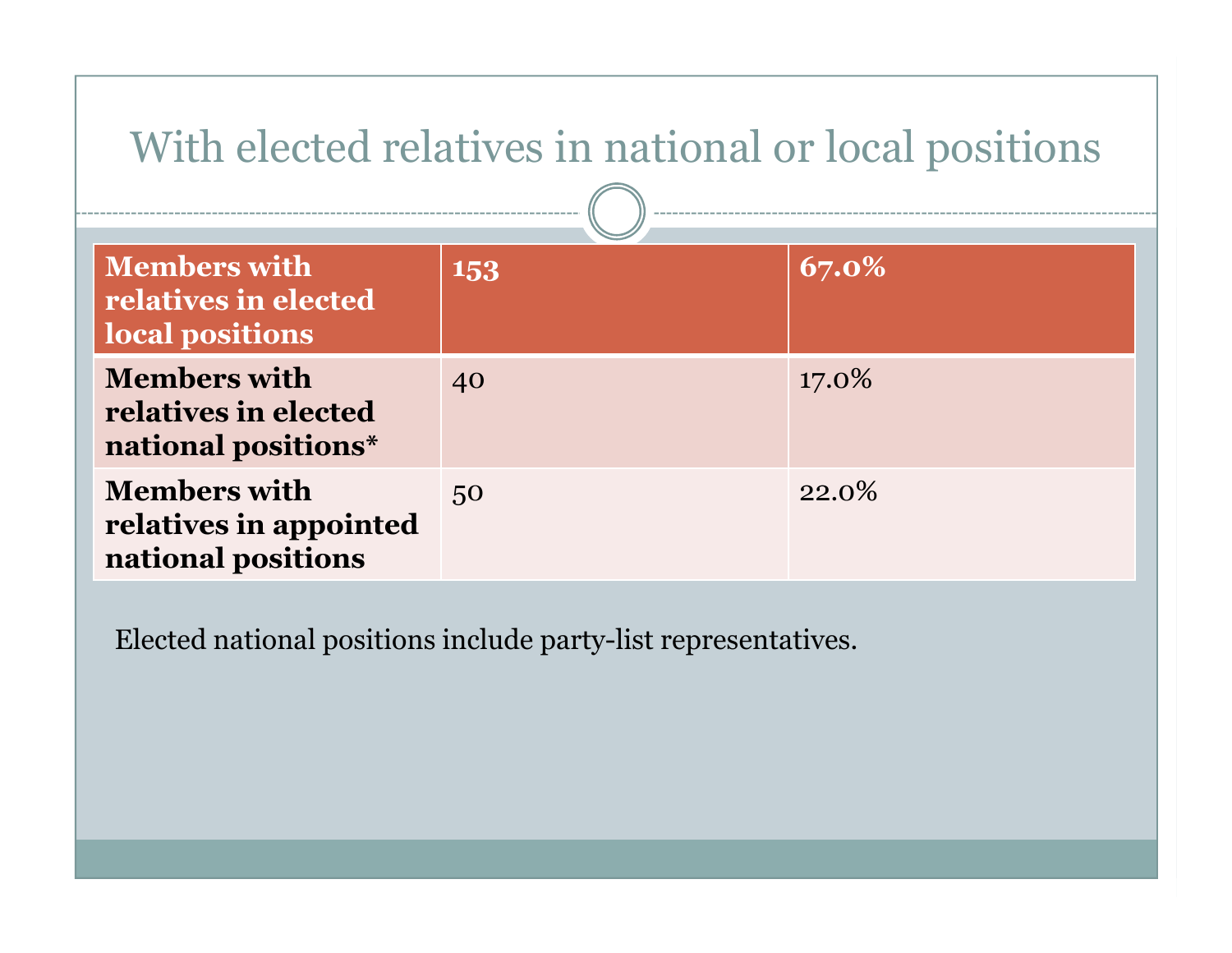| With elected relatives in national or local positions               |     |       |  |
|---------------------------------------------------------------------|-----|-------|--|
| <b>Members with</b><br>relatives in elected<br>local positions      | 153 | 67.0% |  |
| <b>Members with</b><br>relatives in elected<br>national positions*  | 40  | 17.0% |  |
| <b>Members with</b><br>relatives in appointed<br>national positions | 50  | 22.0% |  |

Elected national positions include party-list representatives.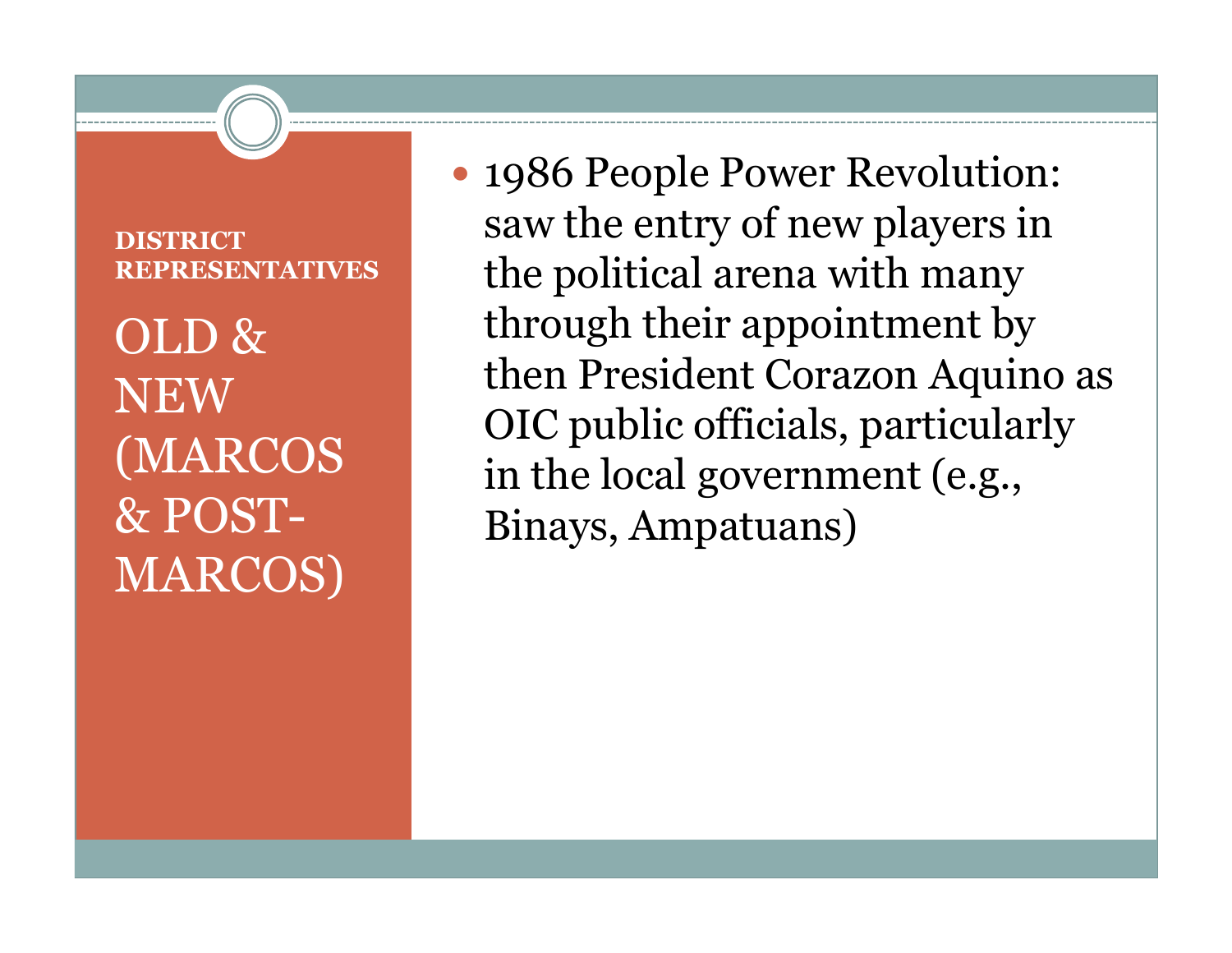#### **DISTRICT REPRESENTATIVES**

## OLD & NEW (MARCOS MARCOS)

 1986 People Power Revolution: saw the entry of new players in the political arena with many through their appointment by then President Corazon Aquino as OIC public officials, particularly in the local government (e.g., & POST-Binays, Ampatuans)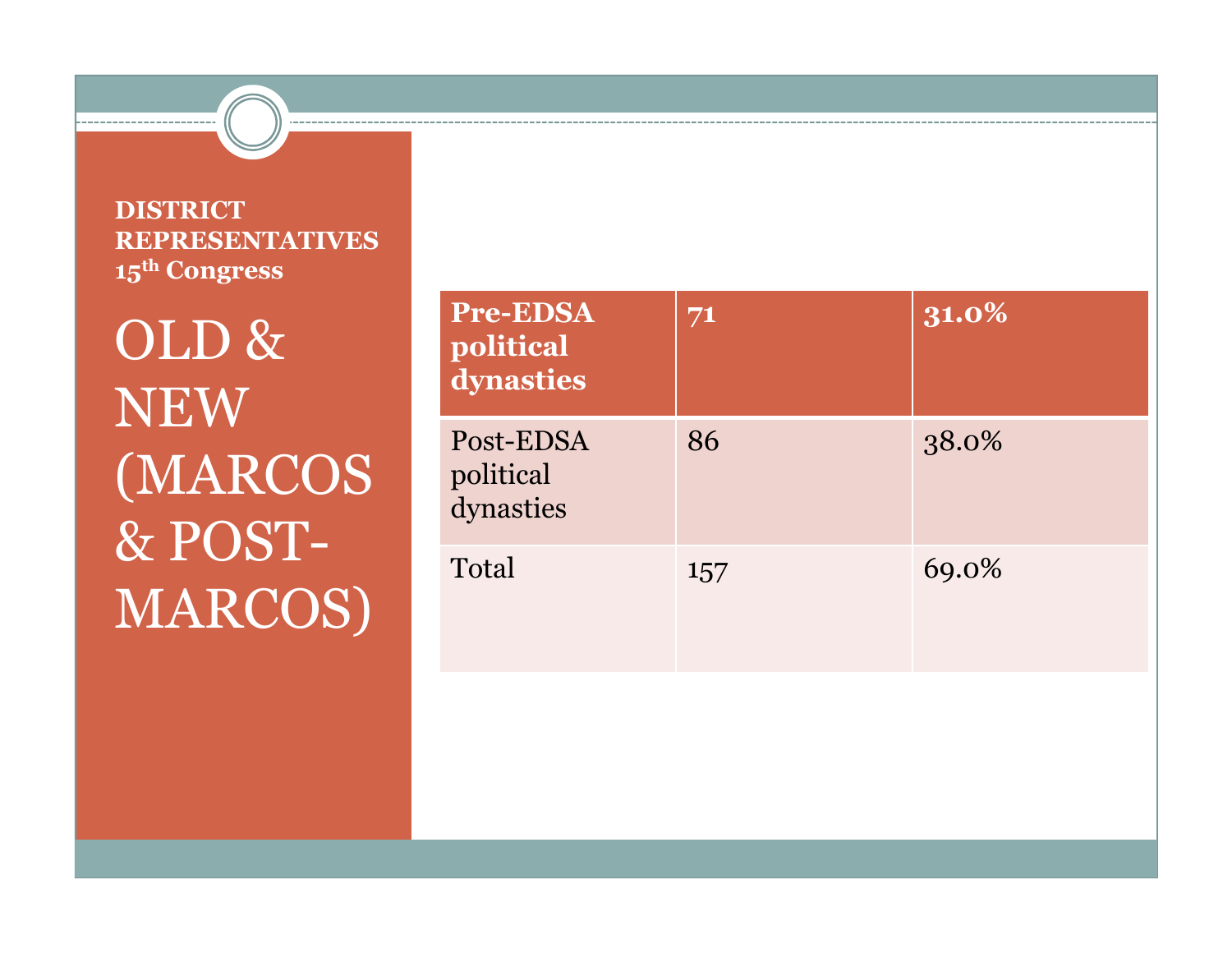**DISTRICT REPRESENTATIVES15th Congress**

OLD & NEW (MARCOS & POST-MARCOS)

|   | Pre-EDSA<br>political<br>dynasties  | 71  | 31.0% |
|---|-------------------------------------|-----|-------|
| S | Post-EDSA<br>political<br>dynasties | 86  | 38.0% |
|   | Total                               | 157 | 69.0% |
|   |                                     |     |       |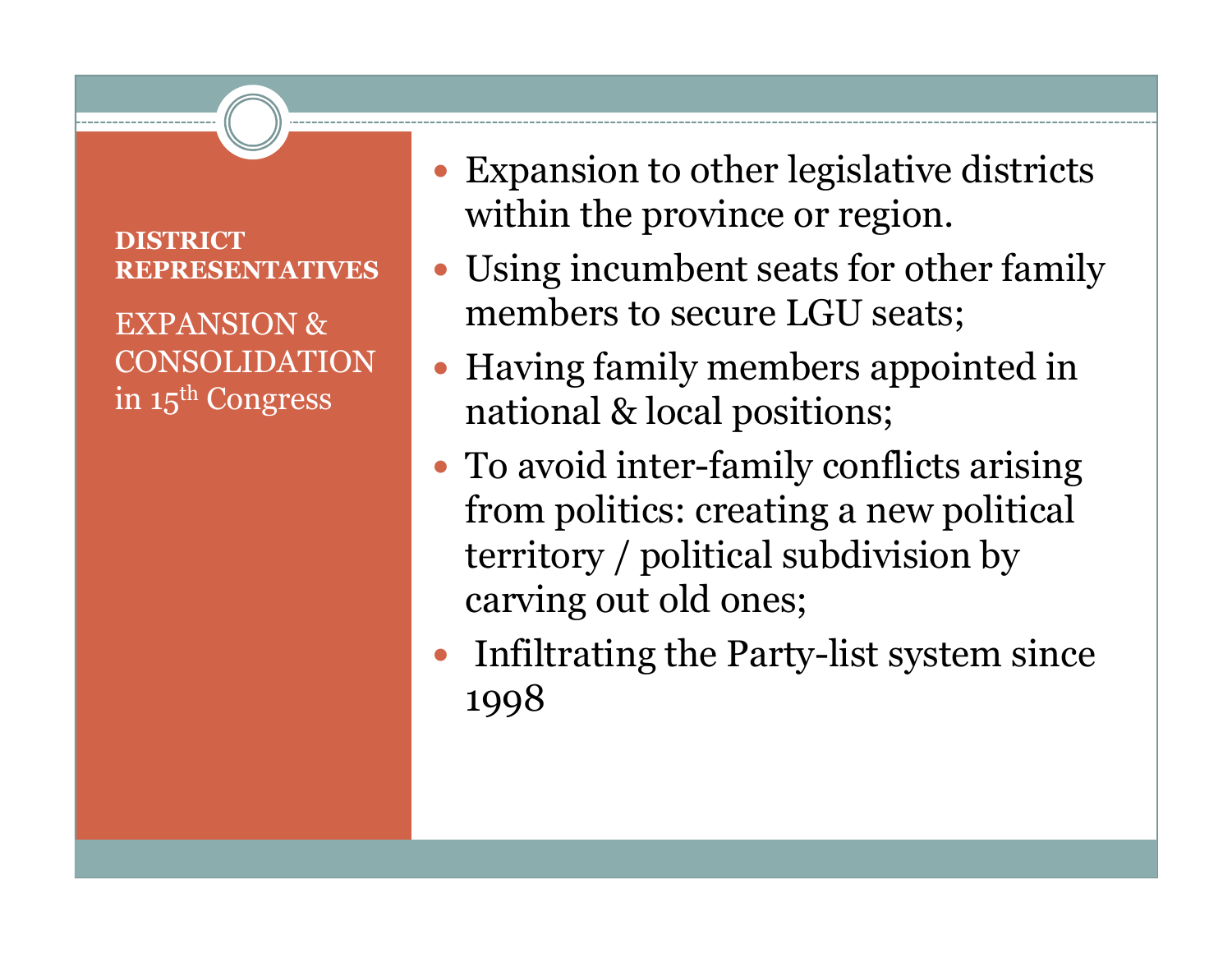#### **DISTRICT REPRESENTATIVES**

EXPANSION & CONSOLIDATION in 15th Congress

- Expansion to other legislative districts within the province or region.
- Using incumbent seats for other family members to secure LGU seats;
- Having family members appointed in national & local positions;
- To avoid inter-family conflicts arising from politics: creating a new political territory / political subdivision by carving out old ones;
- $\bullet$  Infiltrating the Party-list system since 1998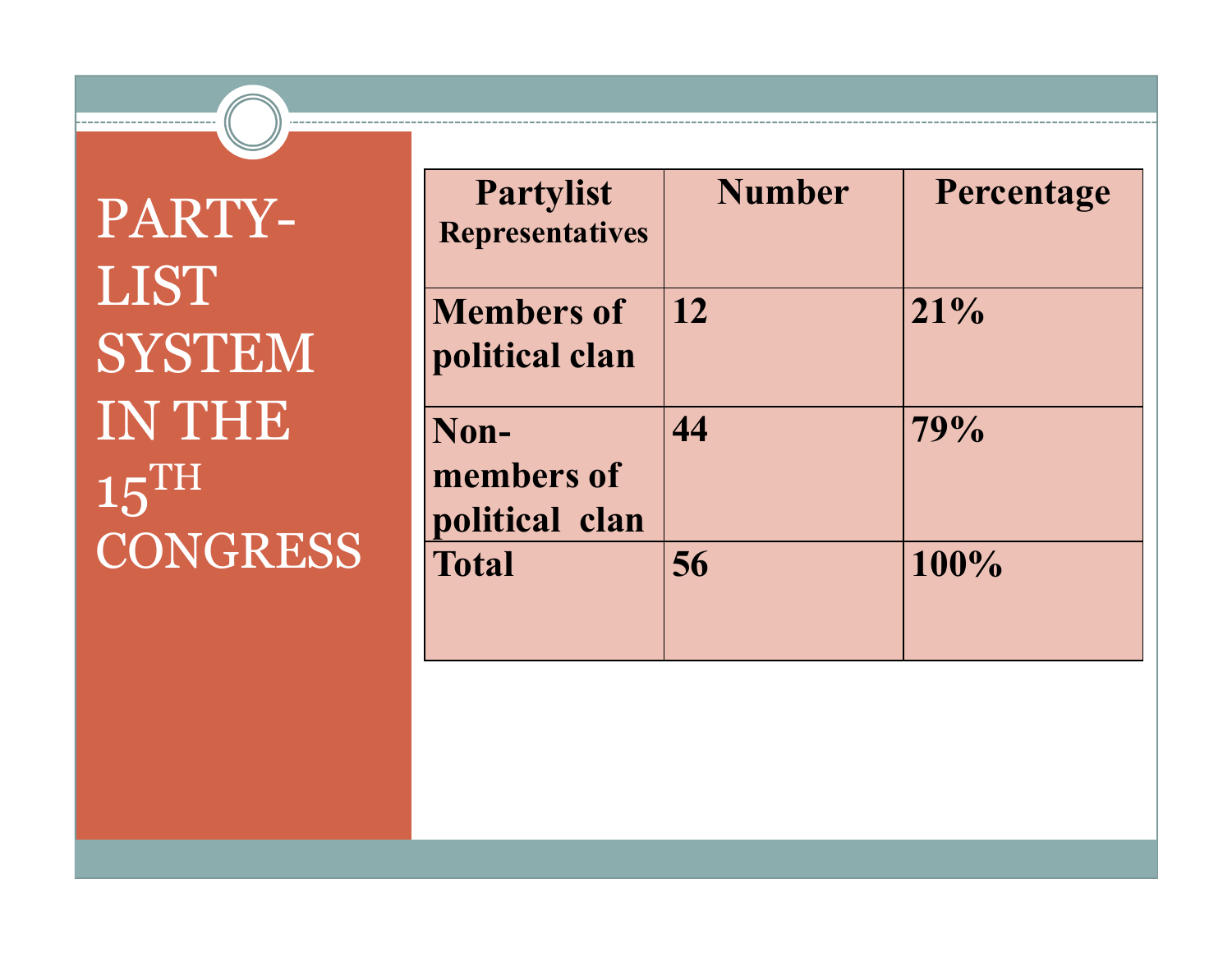### PARTY-LIST **SYSTEM** IN THE 15THCONGRESS Fratal

| RTY-                           | <b>Partylist</b><br><b>Representatives</b> | <b>Number</b> | Percentage |
|--------------------------------|--------------------------------------------|---------------|------------|
| ŠТ<br>STEM                     | <b>Members of</b><br>political clan        | 12            | 21%        |
| THE<br>$\overline{\mathrm{H}}$ | Non-<br>members of<br>political clan       | 44            | 79%        |
| <b>NGRESS</b>                  | <b>Total</b>                               | 56            | 100%       |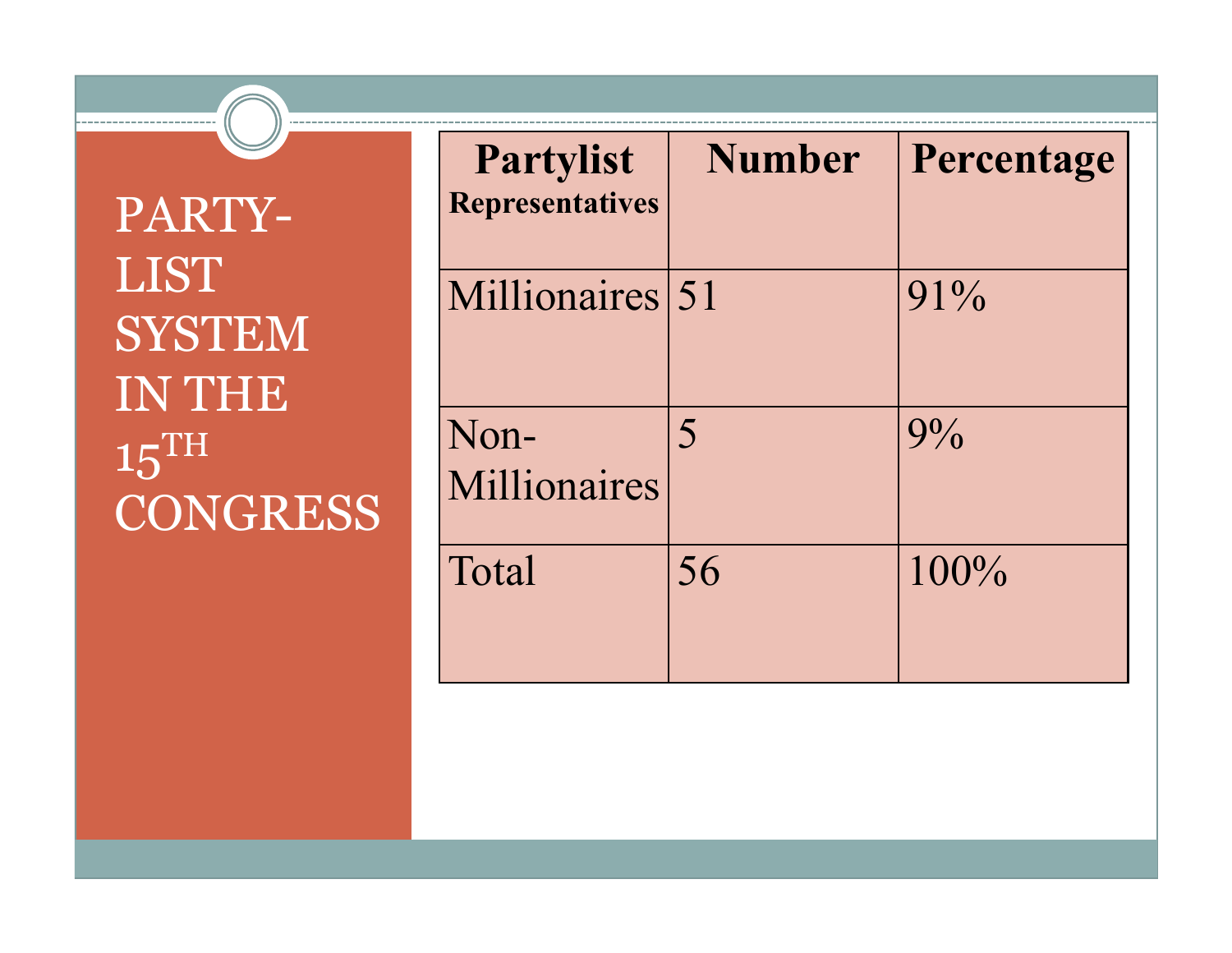PARTY-LIST **SYSTEM** IN THE 15THCONGRESS Numonaire

| <b>Partylist</b><br><b>Representatives</b> | <b>Number</b> | Percentage |
|--------------------------------------------|---------------|------------|
| Millionaires 51                            |               | $91\%$     |
| Non-<br>Millionaires                       | 5             | $9\%$      |
| Total                                      | 56            | $100\%$    |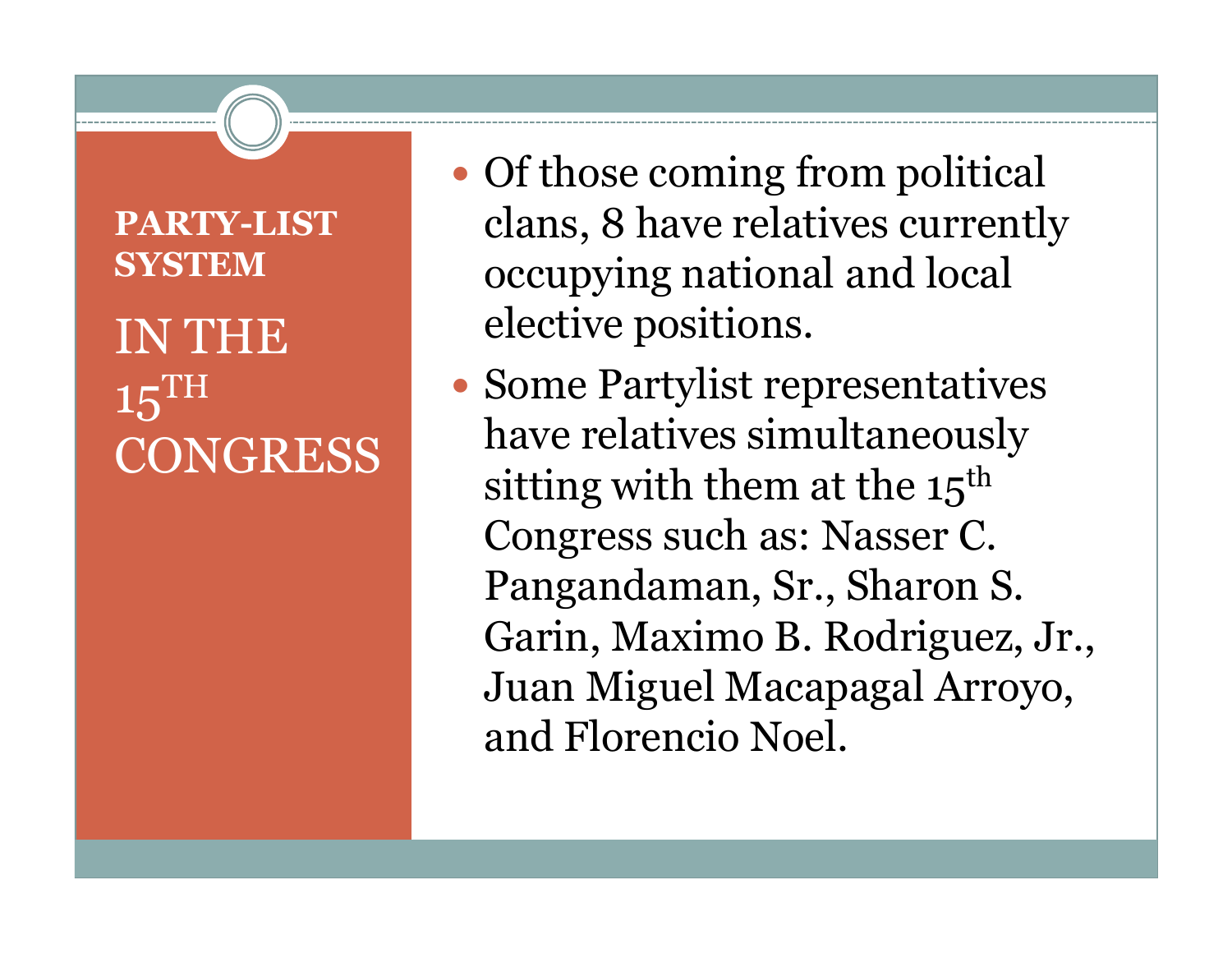### **PARTY-LIST SYSTEMINTHE** 15th **CONGRESS**

- Of those coming from political clans, 8 have relatives currently occupying national and local elective positions.
- Some Partylist representatives<br>have relatives simultaneously have relatives simultaneously sitting with them at the  $15<sup>th</sup>$ Congress such as: Nasser C. Pangandaman, Sr., Sharon S. Garin, Maximo B. Rodriguez, Jr., Juan Miguel Macapagal Arroyo, and Florencio Noel.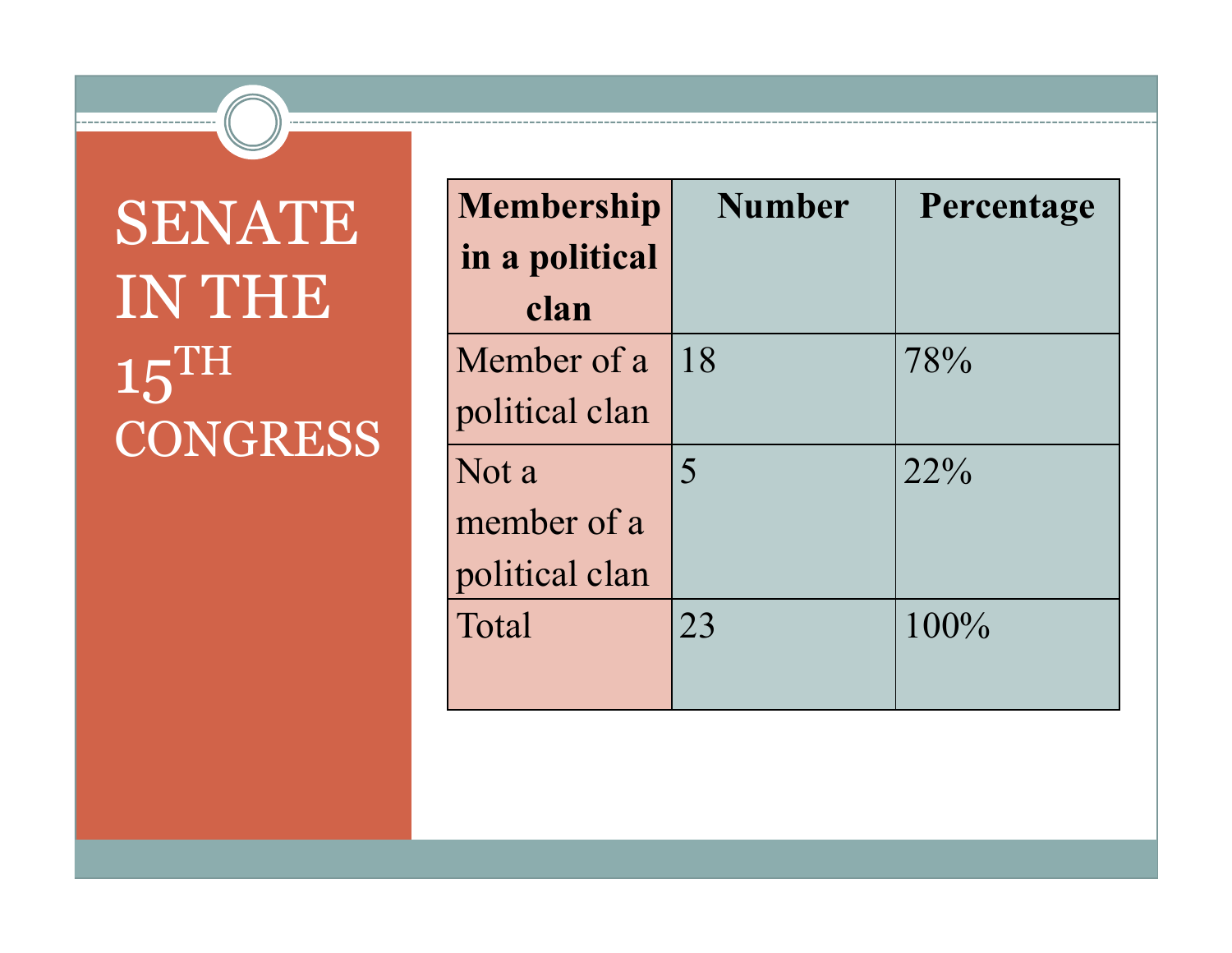## SENATE IN THE  $15^{\text{TH}}$ **CONGRESS**

| <b>Membership</b><br>in a political | <b>Number</b> | Percentage |
|-------------------------------------|---------------|------------|
| clan                                |               |            |
| Member of a                         | 18            | 78%        |
| political clan                      |               |            |
| Not a                               | 5             | $22\%$     |
| member of a                         |               |            |
| political clan                      |               |            |
| Total                               | 23            | 100%       |
|                                     |               |            |